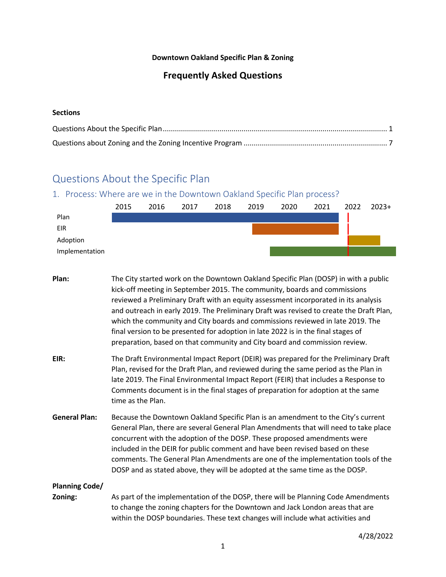#### **Downtown Oakland Specific Plan & Zoning**

## **Frequently Asked Questions**

#### **Sections**

# Questions About the Specific Plan

### 1. Process: Where are we in the Downtown Oakland Specific Plan process?

|                | 2015 | 2016 | 2017 | 2018 | 2019 | 2020 | 2021 | 2022 | $2023+$ |
|----------------|------|------|------|------|------|------|------|------|---------|
| Plan           |      |      |      |      |      |      |      |      |         |
| EIR            |      |      |      |      |      |      |      |      |         |
| Adoption       |      |      |      |      |      |      |      |      |         |
| Implementation |      |      |      |      |      |      |      |      |         |

- **Plan:** The City started work on the Downtown Oakland Specific Plan (DOSP) in with a public kick-off meeting in September 2015. The community, boards and commissions reviewed a Preliminary Draft with an equity assessment incorporated in its analysis and outreach in early 2019. The Preliminary Draft was revised to create the Draft Plan, which the community and City boards and commissions reviewed in late 2019. The final version to be presented for adoption in late 2022 is in the final stages of preparation, based on that community and City board and commission review.
- **EIR:** The Draft Environmental Impact Report (DEIR) was prepared for the Preliminary Draft Plan, revised for the Draft Plan, and reviewed during the same period as the Plan in late 2019. The Final Environmental Impact Report (FEIR) that includes a Response to Comments document is in the final stages of preparation for adoption at the same time as the Plan.
- **General Plan:** Because the Downtown Oakland Specific Plan is an amendment to the City's current General Plan, there are several General Plan Amendments that will need to take place concurrent with the adoption of the DOSP. These proposed amendments were included in the DEIR for public comment and have been revised based on these comments. The General Plan Amendments are one of the implementation tools of the DOSP and as stated above, they will be adopted at the same time as the DOSP.

### **Planning Code/**

**Zoning:** As part of the implementation of the DOSP, there will be Planning Code Amendments to change the zoning chapters for the Downtown and Jack London areas that are within the DOSP boundaries. These text changes will include what activities and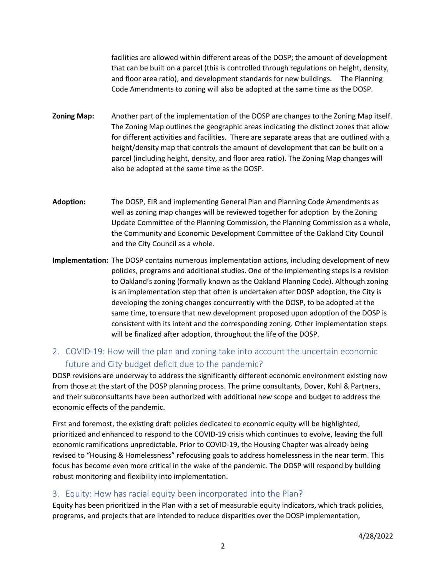facilities are allowed within different areas of the DOSP; the amount of development that can be built on a parcel (this is controlled through regulations on height, density, and floor area ratio), and development standards for new buildings. The Planning Code Amendments to zoning will also be adopted at the same time as the DOSP.

- **Zoning Map:** Another part of the implementation of the DOSP are changes to the Zoning Map itself. The Zoning Map outlines the geographic areas indicating the distinct zones that allow for different activities and facilities. There are separate areas that are outlined with a height/density map that controls the amount of development that can be built on a parcel (including height, density, and floor area ratio). The Zoning Map changes will also be adopted at the same time as the DOSP.
- **Adoption:** The DOSP, EIR and implementing General Plan and Planning Code Amendments as well as zoning map changes will be reviewed together for adoption by the Zoning Update Committee of the Planning Commission, the Planning Commission as a whole, the Community and Economic Development Committee of the Oakland City Council and the City Council as a whole.
- **Implementation:** The DOSP contains numerous implementation actions, including development of new policies, programs and additional studies. One of the implementing steps is a revision to Oakland's zoning (formally known as the Oakland Planning Code). Although zoning is an implementation step that often is undertaken after DOSP adoption, the City is developing the zoning changes concurrently with the DOSP, to be adopted at the same time, to ensure that new development proposed upon adoption of the DOSP is consistent with its intent and the corresponding zoning. Other implementation steps will be finalized after adoption, throughout the life of the DOSP.

## 2. COVID-19: How will the plan and zoning take into account the uncertain economic future and City budget deficit due to the pandemic?

DOSP revisions are underway to address the significantly different economic environment existing now from those at the start of the DOSP planning process. The prime consultants, Dover, Kohl & Partners, and their subconsultants have been authorized with additional new scope and budget to address the economic effects of the pandemic.

First and foremost, the existing draft policies dedicated to economic equity will be highlighted, prioritized and enhanced to respond to the COVID-19 crisis which continues to evolve, leaving the full economic ramifications unpredictable. Prior to COVID-19, the Housing Chapter was already being revised to "Housing & Homelessness" refocusing goals to address homelessness in the near term. This focus has become even more critical in the wake of the pandemic. The DOSP will respond by building robust monitoring and flexibility into implementation.

### 3. Equity: How has racial equity been incorporated into the Plan?

Equity has been prioritized in the Plan with a set of measurable equity indicators, which track policies, programs, and projects that are intended to reduce disparities over the DOSP implementation,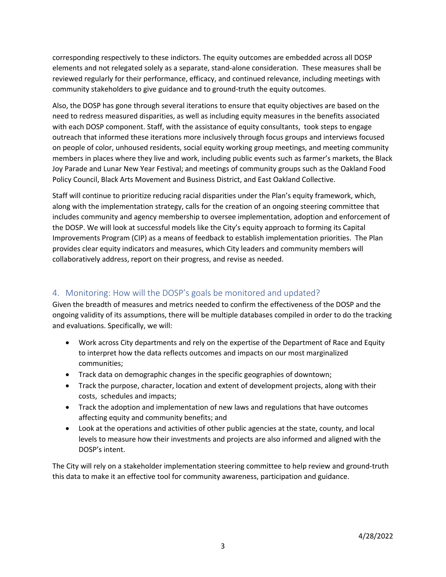corresponding respectively to these indictors. The equity outcomes are embedded across all DOSP elements and not relegated solely as a separate, stand-alone consideration. These measures shall be reviewed regularly for their performance, efficacy, and continued relevance, including meetings with community stakeholders to give guidance and to ground-truth the equity outcomes.

Also, the DOSP has gone through several iterations to ensure that equity objectives are based on the need to redress measured disparities, as well as including equity measures in the benefits associated with each DOSP component. Staff, with the assistance of equity consultants, took steps to engage outreach that informed these iterations more inclusively through focus groups and interviews focused on people of color, unhoused residents, social equity working group meetings, and meeting community members in places where they live and work, including public events such as farmer's markets, the Black Joy Parade and Lunar New Year Festival; and meetings of community groups such as the Oakland Food Policy Council, Black Arts Movement and Business District, and East Oakland Collective.

Staff will continue to prioritize reducing racial disparities under the Plan's equity framework, which, along with the implementation strategy, calls for the creation of an ongoing steering committee that includes community and agency membership to oversee implementation, adoption and enforcement of the DOSP. We will look at successful models like the City's equity approach to forming its Capital Improvements Program (CIP) as a means of feedback to establish implementation priorities. The Plan provides clear equity indicators and measures, which City leaders and community members will collaboratively address, report on their progress, and revise as needed.

# 4. Monitoring: How will the DOSP's goals be monitored and updated?

Given the breadth of measures and metrics needed to confirm the effectiveness of the DOSP and the ongoing validity of its assumptions, there will be multiple databases compiled in order to do the tracking and evaluations. Specifically, we will:

- Work across City departments and rely on the expertise of the Department of Race and Equity to interpret how the data reflects outcomes and impacts on our most marginalized communities;
- Track data on demographic changes in the specific geographies of downtown;
- Track the purpose, character, location and extent of development projects, along with their costs, schedules and impacts;
- Track the adoption and implementation of new laws and regulations that have outcomes affecting equity and community benefits; and
- Look at the operations and activities of other public agencies at the state, county, and local levels to measure how their investments and projects are also informed and aligned with the DOSP's intent.

The City will rely on a stakeholder implementation steering committee to help review and ground-truth this data to make it an effective tool for community awareness, participation and guidance.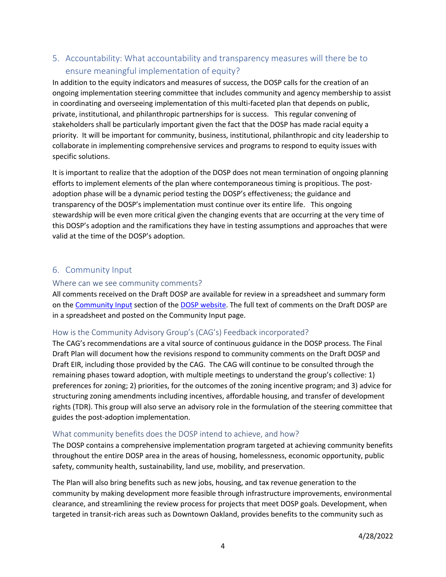# 5. Accountability: What accountability and transparency measures will there be to ensure meaningful implementation of equity?

In addition to the equity indicators and measures of success, the DOSP calls for the creation of an ongoing implementation steering committee that includes community and agency membership to assist in coordinating and overseeing implementation of this multi-faceted plan that depends on public, private, institutional, and philanthropic partnerships for is success. This regular convening of stakeholders shall be particularly important given the fact that the DOSP has made racial equity a priority. It will be important for community, business, institutional, philanthropic and city leadership to collaborate in implementing comprehensive services and programs to respond to equity issues with specific solutions.

It is important to realize that the adoption of the DOSP does not mean termination of ongoing planning efforts to implement elements of the plan where contemporaneous timing is propitious. The postadoption phase will be a dynamic period testing the DOSP's effectiveness; the guidance and transparency of the DOSP's implementation must continue over its entire life. This ongoing stewardship will be even more critical given the changing events that are occurring at the very time of this DOSP's adoption and the ramifications they have in testing assumptions and approaches that were valid at the time of the DOSP's adoption.

## 6. Community Input

#### Where can we see community comments?

All comments received on the Draft DOSP are available for review in a spreadsheet and summary form on the Community Input section of the DOSP website. The full text of comments on the Draft DOSP are in a spreadsheet and posted on the Community Input page.

### How is the Community Advisory Group's (CAG's) Feedback incorporated?

The CAG's recommendations are a vital source of continuous guidance in the DOSP process. The Final Draft Plan will document how the revisions respond to community comments on the Draft DOSP and Draft EIR, including those provided by the CAG. The CAG will continue to be consulted through the remaining phases toward adoption, with multiple meetings to understand the group's collective: 1) preferences for zoning; 2) priorities, for the outcomes of the zoning incentive program; and 3) advice for structuring zoning amendments including incentives, affordable housing, and transfer of development rights (TDR). This group will also serve an advisory role in the formulation of the steering committee that guides the post-adoption implementation.

#### What community benefits does the DOSP intend to achieve, and how?

The DOSP contains a comprehensive implementation program targeted at achieving community benefits throughout the entire DOSP area in the areas of housing, homelessness, economic opportunity, public safety, community health, sustainability, land use, mobility, and preservation.

The Plan will also bring benefits such as new jobs, housing, and tax revenue generation to the community by making development more feasible through infrastructure improvements, environmental clearance, and streamlining the review process for projects that meet DOSP goals. Development, when targeted in transit-rich areas such as Downtown Oakland, provides benefits to the community such as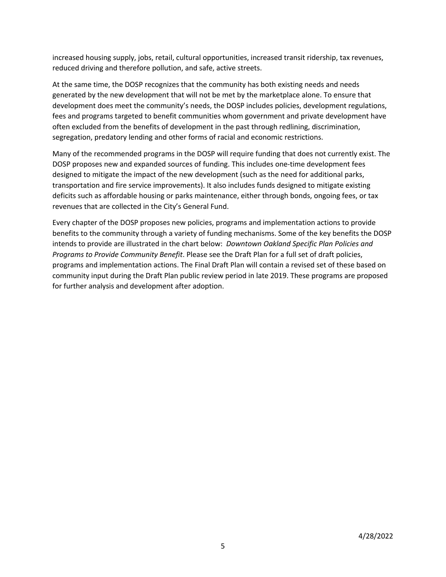increased housing supply, jobs, retail, cultural opportunities, increased transit ridership, tax revenues, reduced driving and therefore pollution, and safe, active streets.

At the same time, the DOSP recognizes that the community has both existing needs and needs generated by the new development that will not be met by the marketplace alone. To ensure that development does meet the community's needs, the DOSP includes policies, development regulations, fees and programs targeted to benefit communities whom government and private development have often excluded from the benefits of development in the past through redlining, discrimination, segregation, predatory lending and other forms of racial and economic restrictions.

Many of the recommended programs in the DOSP will require funding that does not currently exist. The DOSP proposes new and expanded sources of funding. This includes one-time development fees designed to mitigate the impact of the new development (such as the need for additional parks, transportation and fire service improvements). It also includes funds designed to mitigate existing deficits such as affordable housing or parks maintenance, either through bonds, ongoing fees, or tax revenues that are collected in the City's General Fund.

Every chapter of the DOSP proposes new policies, programs and implementation actions to provide benefits to the community through a variety of funding mechanisms. Some of the key benefits the DOSP intends to provide are illustrated in the chart below: *Downtown Oakland Specific Plan Policies and Programs to Provide Community Benefit*. Please see the Draft Plan for a full set of draft policies, programs and implementation actions. The Final Draft Plan will contain a revised set of these based on community input during the Draft Plan public review period in late 2019. These programs are proposed for further analysis and development after adoption.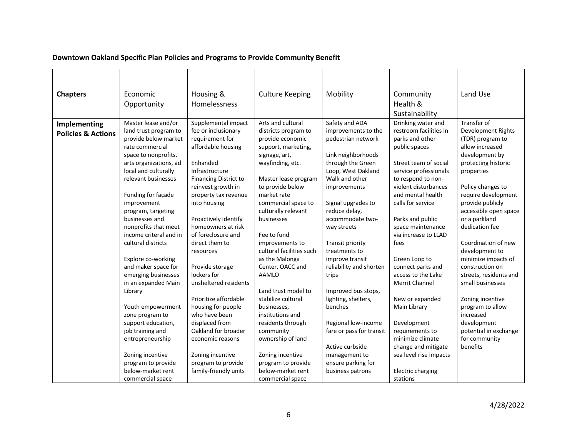## **Downtown Oakland Specific Plan Policies and Programs to Provide Community Benefit**

| <b>Chapters</b>                               | Economic<br>Opportunity                                                                                                                                                                                                                                                                            | Housing &<br>Homelessness                                                                                                                                                                                                                                                           | <b>Culture Keeping</b>                                                                                                                                                                                                                                                                     | Mobility                                                                                                                                                                                                                                                       | Community<br>Health &<br>Sustainability                                                                                                                                                                                                                             | Land Use                                                                                                                                                                                                                                                    |
|-----------------------------------------------|----------------------------------------------------------------------------------------------------------------------------------------------------------------------------------------------------------------------------------------------------------------------------------------------------|-------------------------------------------------------------------------------------------------------------------------------------------------------------------------------------------------------------------------------------------------------------------------------------|--------------------------------------------------------------------------------------------------------------------------------------------------------------------------------------------------------------------------------------------------------------------------------------------|----------------------------------------------------------------------------------------------------------------------------------------------------------------------------------------------------------------------------------------------------------------|---------------------------------------------------------------------------------------------------------------------------------------------------------------------------------------------------------------------------------------------------------------------|-------------------------------------------------------------------------------------------------------------------------------------------------------------------------------------------------------------------------------------------------------------|
| Implementing<br><b>Policies &amp; Actions</b> | Master lease and/or<br>land trust program to<br>provide below market<br>rate commercial<br>space to nonprofits,<br>arts organizations, ad<br>local and culturally<br>relevant businesses<br>Funding for façade<br>improvement<br>program, targeting<br>businesses and<br>nonprofits that meet      | Supplemental impact<br>fee or inclusionary<br>requirement for<br>affordable housing<br>Enhanded<br>Infrastructure<br><b>Financing District to</b><br>reinvest growth in<br>property tax revenue<br>into housing<br>Proactively identify<br>homeowners at risk                       | Arts and cultural<br>districts program to<br>provide economic<br>support, marketing,<br>signage, art,<br>wayfinding, etc.<br>Master lease program<br>to provide below<br>market rate<br>commercial space to<br>culturally relevant<br>businesses                                           | Safety and ADA<br>improvements to the<br>pedestrian network<br>Link neighborhoods<br>through the Green<br>Loop, West Oakland<br>Walk and other<br>improvements<br>Signal upgrades to<br>reduce delay,<br>accommodate two-<br>way streets                       | Drinking water and<br>restroom facilities in<br>parks and other<br>public spaces<br>Street team of social<br>service professionals<br>to respond to non-<br>violent disturbances<br>and mental health<br>calls for service<br>Parks and public<br>space maintenance | Transfer of<br>Development Rights<br>(TDR) program to<br>allow increased<br>development by<br>protecting historic<br>properties<br>Policy changes to<br>require development<br>provide publicly<br>accessible open space<br>or a parkland<br>dedication fee |
|                                               | income criteral and in<br>cultural districts<br>Explore co-working<br>and maker space for<br>emerging businesses<br>in an expanded Main<br>Library<br>Youth empowerment<br>zone program to<br>support education,<br>job training and<br>entrepreneurship<br>Zoning incentive<br>program to provide | of foreclosure and<br>direct them to<br>resources<br>Provide storage<br>lockers for<br>unsheltered residents<br>Prioritize affordable<br>housing for people<br>who have been<br>displaced from<br>Oakland for broader<br>economic reasons<br>Zoning incentive<br>program to provide | Fee to fund<br>improvements to<br>cultural facilities such<br>as the Malonga<br>Center, OACC and<br>AAMLO<br>Land trust model to<br>stabilize cultural<br>businesses,<br>institutions and<br>residents through<br>community<br>ownership of land<br>Zoning incentive<br>program to provide | Transit priority<br>treatments to<br>improve transit<br>reliability and shorten<br>trips<br>Improved bus stops,<br>lighting, shelters,<br>benches<br>Regional low-income<br>fare or pass for transit<br>Active curbside<br>management to<br>ensure parking for | via increase to LLAD<br>fees<br>Green Loop to<br>connect parks and<br>access to the Lake<br>Merrit Channel<br>New or expanded<br>Main Library<br>Development<br>requirements to<br>minimize climate<br>change and mitigate<br>sea level rise impacts                | Coordination of new<br>development to<br>minimize impacts of<br>construction on<br>streets, residents and<br>small businesses<br>Zoning incentive<br>program to allow<br>increased<br>development<br>potential in exchange<br>for community<br>benefits     |
|                                               | below-market rent<br>commercial space                                                                                                                                                                                                                                                              | family-friendly units                                                                                                                                                                                                                                                               | below-market rent<br>commercial space                                                                                                                                                                                                                                                      | business patrons                                                                                                                                                                                                                                               | Electric charging<br>stations                                                                                                                                                                                                                                       |                                                                                                                                                                                                                                                             |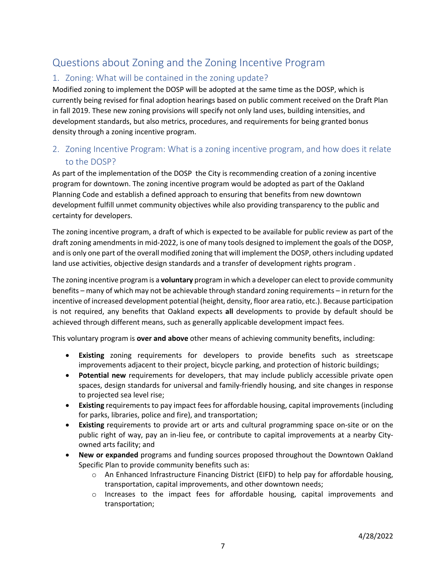# Questions about Zoning and the Zoning Incentive Program

# 1. Zoning: What will be contained in the zoning update?

Modified zoning to implement the DOSP will be adopted at the same time as the DOSP, which is currently being revised for final adoption hearings based on public comment received on the Draft Plan in fall 2019. These new zoning provisions will specify not only land uses, building intensities, and development standards, but also metrics, procedures, and requirements for being granted bonus density through a zoning incentive program.

# 2. Zoning Incentive Program: What is a zoning incentive program, and how does it relate to the DOSP?

As part of the implementation of the DOSP the City is recommending creation of a zoning incentive program for downtown. The zoning incentive program would be adopted as part of the Oakland Planning Code and establish a defined approach to ensuring that benefits from new downtown development fulfill unmet community objectives while also providing transparency to the public and certainty for developers.

The zoning incentive program, a draft of which is expected to be available for public review as part of the draft zoning amendments in mid-2022, is one of many tools designed to implement the goals of the DOSP, and is only one part of the overall modified zoning that will implement the DOSP, others including updated land use activities, objective design standards and a transfer of development rights program .

The zoning incentive program is a **voluntary** program in which a developer can elect to provide community benefits – many of which may not be achievable through standard zoning requirements – in return for the incentive of increased development potential (height, density, floor area ratio, etc.). Because participation is not required, any benefits that Oakland expects **all** developments to provide by default should be achieved through different means, such as generally applicable development impact fees.

This voluntary program is **over and above** other means of achieving community benefits, including:

- **Existing** zoning requirements for developers to provide benefits such as streetscape improvements adjacent to their project, bicycle parking, and protection of historic buildings;
- **Potential new** requirements for developers, that may include publicly accessible private open spaces, design standards for universal and family-friendly housing, and site changes in response to projected sea level rise;
- **Existing** requirements to pay impact fees for affordable housing, capital improvements (including for parks, libraries, police and fire), and transportation;
- **Existing** requirements to provide art or arts and cultural programming space on-site or on the public right of way, pay an in-lieu fee, or contribute to capital improvements at a nearby Cityowned arts facility; and
- **New or expanded** programs and funding sources proposed throughout the Downtown Oakland Specific Plan to provide community benefits such as:
	- $\circ$  An Enhanced Infrastructure Financing District (EIFD) to help pay for affordable housing, transportation, capital improvements, and other downtown needs;
	- $\circ$  Increases to the impact fees for affordable housing, capital improvements and transportation;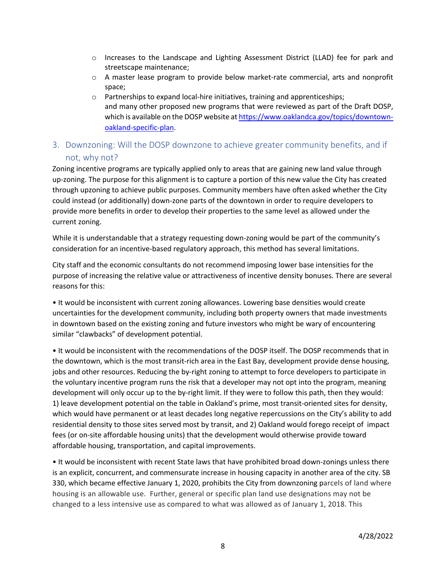- $\circ$  Increases to the Landscape and Lighting Assessment District (LLAD) fee for park and streetscape maintenance;
- $\circ$  A master lease program to provide below market-rate commercial, arts and nonprofit space;
- o Partnerships to expand local-hire initiatives, training and apprenticeships; and many other proposed new programs that were reviewed as part of the Draft DOSP, which is available on the DOSP website at https://www.oaklandca.gov/topics/downtownoakland-specific-plan.

# 3. Downzoning: Will the DOSP downzone to achieve greater community benefits, and if not, why not?

Zoning incentive programs are typically applied only to areas that are gaining new land value through up-zoning. The purpose for this alignment is to capture a portion of this new value the City has created through upzoning to achieve public purposes. Community members have often asked whether the City could instead (or additionally) down-zone parts of the downtown in order to require developers to provide more benefits in order to develop their properties to the same level as allowed under the current zoning.

While it is understandable that a strategy requesting down-zoning would be part of the community's consideration for an incentive-based regulatory approach, this method has several limitations.

City staff and the economic consultants do not recommend imposing lower base intensities for the purpose of increasing the relative value or attractiveness of incentive density bonuses. There are several reasons for this:

• It would be inconsistent with current zoning allowances. Lowering base densities would create uncertainties for the development community, including both property owners that made investments in downtown based on the existing zoning and future investors who might be wary of encountering similar "clawbacks" of development potential.

• It would be inconsistent with the recommendations of the DOSP itself. The DOSP recommends that in the downtown, which is the most transit-rich area in the East Bay, development provide dense housing, jobs and other resources. Reducing the by-right zoning to attempt to force developers to participate in the voluntary incentive program runs the risk that a developer may not opt into the program, meaning development will only occur up to the by-right limit. If they were to follow this path, then they would: 1) leave development potential on the table in Oakland's prime, most transit-oriented sites for density, which would have permanent or at least decades long negative repercussions on the City's ability to add residential density to those sites served most by transit, and 2) Oakland would forego receipt of impact fees (or on-site affordable housing units) that the development would otherwise provide toward affordable housing, transportation, and capital improvements.

• It would be inconsistent with recent State laws that have prohibited broad down-zonings unless there is an explicit, concurrent, and commensurate increase in housing capacity in another area of the city. SB 330, which became effective January 1, 2020, prohibits the City from downzoning parcels of land where housing is an allowable use. Further, general or specific plan land use designations may not be changed to a less intensive use as compared to what was allowed as of January 1, 2018. This